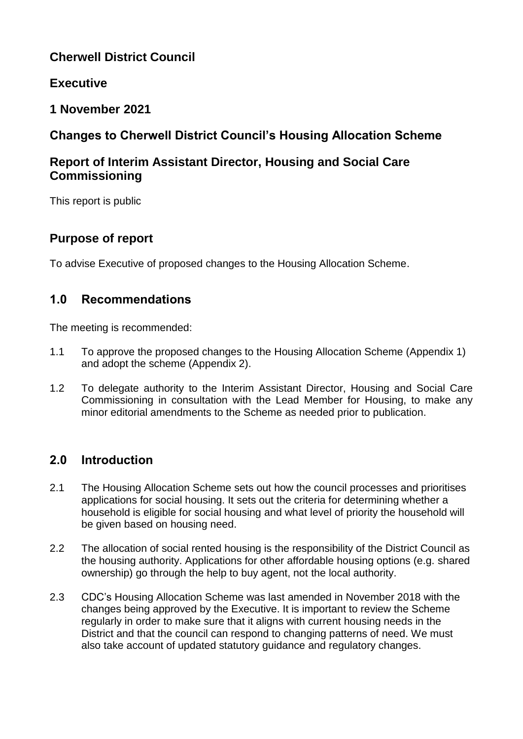# **Cherwell District Council**

## **Executive**

## **1 November 2021**

# **Changes to Cherwell District Council's Housing Allocation Scheme**

# **Report of Interim Assistant Director, Housing and Social Care Commissioning**

This report is public

## **Purpose of report**

To advise Executive of proposed changes to the Housing Allocation Scheme.

## **1.0 Recommendations**

The meeting is recommended:

- 1.1 To approve the proposed changes to the Housing Allocation Scheme (Appendix 1) and adopt the scheme (Appendix 2).
- 1.2 To delegate authority to the Interim Assistant Director, Housing and Social Care Commissioning in consultation with the Lead Member for Housing, to make any minor editorial amendments to the Scheme as needed prior to publication.

# **2.0 Introduction**

- 2.1 The Housing Allocation Scheme sets out how the council processes and prioritises applications for social housing. It sets out the criteria for determining whether a household is eligible for social housing and what level of priority the household will be given based on housing need.
- 2.2 The allocation of social rented housing is the responsibility of the District Council as the housing authority. Applications for other affordable housing options (e.g. shared ownership) go through the help to buy agent, not the local authority.
- 2.3 CDC's Housing Allocation Scheme was last amended in November 2018 with the changes being approved by the Executive. It is important to review the Scheme regularly in order to make sure that it aligns with current housing needs in the District and that the council can respond to changing patterns of need. We must also take account of updated statutory guidance and regulatory changes.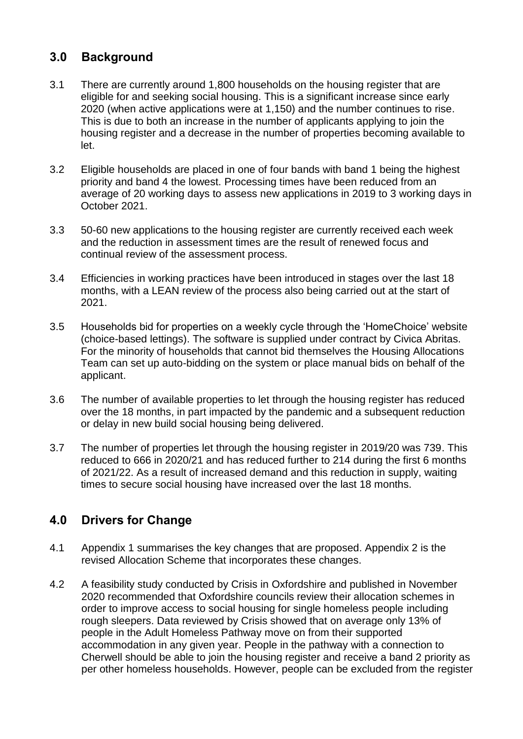## **3.0 Background**

- 3.1 There are currently around 1,800 households on the housing register that are eligible for and seeking social housing. This is a significant increase since early 2020 (when active applications were at 1,150) and the number continues to rise. This is due to both an increase in the number of applicants applying to join the housing register and a decrease in the number of properties becoming available to let.
- 3.2 Eligible households are placed in one of four bands with band 1 being the highest priority and band 4 the lowest. Processing times have been reduced from an average of 20 working days to assess new applications in 2019 to 3 working days in October 2021.
- 3.3 50-60 new applications to the housing register are currently received each week and the reduction in assessment times are the result of renewed focus and continual review of the assessment process.
- 3.4 Efficiencies in working practices have been introduced in stages over the last 18 months, with a LEAN review of the process also being carried out at the start of 2021.
- 3.5 Households bid for properties on a weekly cycle through the 'HomeChoice' website (choice-based lettings). The software is supplied under contract by Civica Abritas. For the minority of households that cannot bid themselves the Housing Allocations Team can set up auto-bidding on the system or place manual bids on behalf of the applicant.
- 3.6 The number of available properties to let through the housing register has reduced over the 18 months, in part impacted by the pandemic and a subsequent reduction or delay in new build social housing being delivered.
- 3.7 The number of properties let through the housing register in 2019/20 was 739. This reduced to 666 in 2020/21 and has reduced further to 214 during the first 6 months of 2021/22. As a result of increased demand and this reduction in supply, waiting times to secure social housing have increased over the last 18 months.

## **4.0 Drivers for Change**

- 4.1 Appendix 1 summarises the key changes that are proposed. Appendix 2 is the revised Allocation Scheme that incorporates these changes.
- 4.2 A feasibility study conducted by Crisis in Oxfordshire and published in November 2020 recommended that Oxfordshire councils review their allocation schemes in order to improve access to social housing for single homeless people including rough sleepers. Data reviewed by Crisis showed that on average only 13% of people in the Adult Homeless Pathway move on from their supported accommodation in any given year. People in the pathway with a connection to Cherwell should be able to join the housing register and receive a band 2 priority as per other homeless households. However, people can be excluded from the register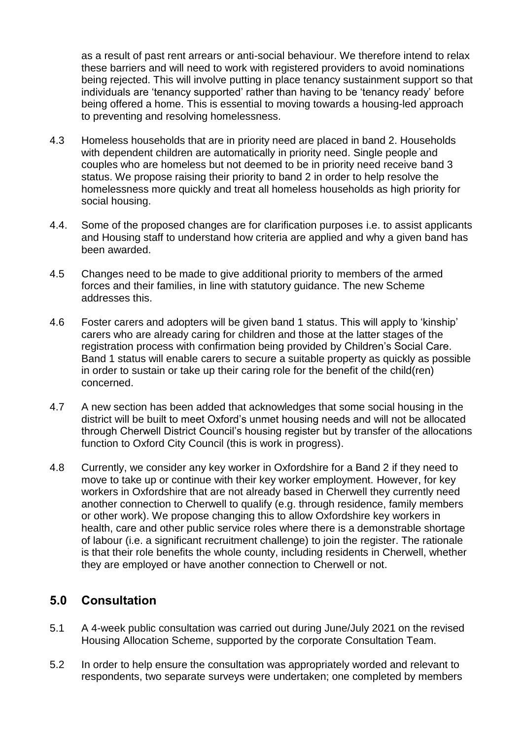as a result of past rent arrears or anti-social behaviour. We therefore intend to relax these barriers and will need to work with registered providers to avoid nominations being rejected. This will involve putting in place tenancy sustainment support so that individuals are 'tenancy supported' rather than having to be 'tenancy ready' before being offered a home. This is essential to moving towards a housing-led approach to preventing and resolving homelessness.

- 4.3 Homeless households that are in priority need are placed in band 2. Households with dependent children are automatically in priority need. Single people and couples who are homeless but not deemed to be in priority need receive band 3 status. We propose raising their priority to band 2 in order to help resolve the homelessness more quickly and treat all homeless households as high priority for social housing.
- 4.4. Some of the proposed changes are for clarification purposes i.e. to assist applicants and Housing staff to understand how criteria are applied and why a given band has been awarded.
- 4.5 Changes need to be made to give additional priority to members of the armed forces and their families, in line with statutory guidance. The new Scheme addresses this.
- 4.6 Foster carers and adopters will be given band 1 status. This will apply to 'kinship' carers who are already caring for children and those at the latter stages of the registration process with confirmation being provided by Children's Social Care. Band 1 status will enable carers to secure a suitable property as quickly as possible in order to sustain or take up their caring role for the benefit of the child(ren) concerned.
- 4.7 A new section has been added that acknowledges that some social housing in the district will be built to meet Oxford's unmet housing needs and will not be allocated through Cherwell District Council's housing register but by transfer of the allocations function to Oxford City Council (this is work in progress).
- 4.8 Currently, we consider any key worker in Oxfordshire for a Band 2 if they need to move to take up or continue with their key worker employment. However, for key workers in Oxfordshire that are not already based in Cherwell they currently need another connection to Cherwell to qualify (e.g. through residence, family members or other work). We propose changing this to allow Oxfordshire key workers in health, care and other public service roles where there is a demonstrable shortage of labour (i.e. a significant recruitment challenge) to join the register. The rationale is that their role benefits the whole county, including residents in Cherwell, whether they are employed or have another connection to Cherwell or not.

## **5.0 Consultation**

- 5.1 A 4-week public consultation was carried out during June/July 2021 on the revised Housing Allocation Scheme, supported by the corporate Consultation Team.
- 5.2 In order to help ensure the consultation was appropriately worded and relevant to respondents, two separate surveys were undertaken; one completed by members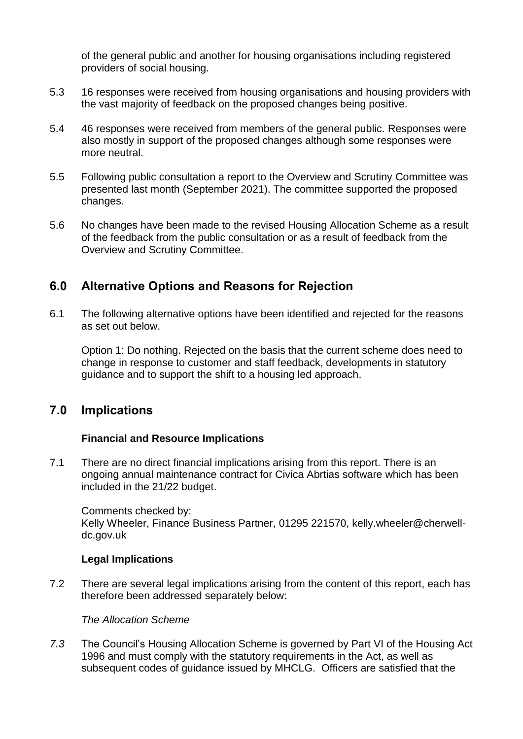of the general public and another for housing organisations including registered providers of social housing.

- 5.3 16 responses were received from housing organisations and housing providers with the vast majority of feedback on the proposed changes being positive.
- 5.4 46 responses were received from members of the general public. Responses were also mostly in support of the proposed changes although some responses were more neutral.
- 5.5 Following public consultation a report to the Overview and Scrutiny Committee was presented last month (September 2021). The committee supported the proposed changes.
- 5.6 No changes have been made to the revised Housing Allocation Scheme as a result of the feedback from the public consultation or as a result of feedback from the Overview and Scrutiny Committee.

## **6.0 Alternative Options and Reasons for Rejection**

6.1 The following alternative options have been identified and rejected for the reasons as set out below.

Option 1: Do nothing. Rejected on the basis that the current scheme does need to change in response to customer and staff feedback, developments in statutory guidance and to support the shift to a housing led approach.

## **7.0 Implications**

### **Financial and Resource Implications**

7.1 There are no direct financial implications arising from this report. There is an ongoing annual maintenance contract for Civica Abrtias software which has been included in the 21/22 budget.

Comments checked by: Kelly Wheeler, Finance Business Partner, 01295 221570, kelly.wheeler@cherwelldc.gov.uk

### **Legal Implications**

7.2 There are several legal implications arising from the content of this report, each has therefore been addressed separately below:

### *The Allocation Scheme*

*7.3* The Council's Housing Allocation Scheme is governed by Part VI of the Housing Act 1996 and must comply with the statutory requirements in the Act, as well as subsequent codes of guidance issued by MHCLG. Officers are satisfied that the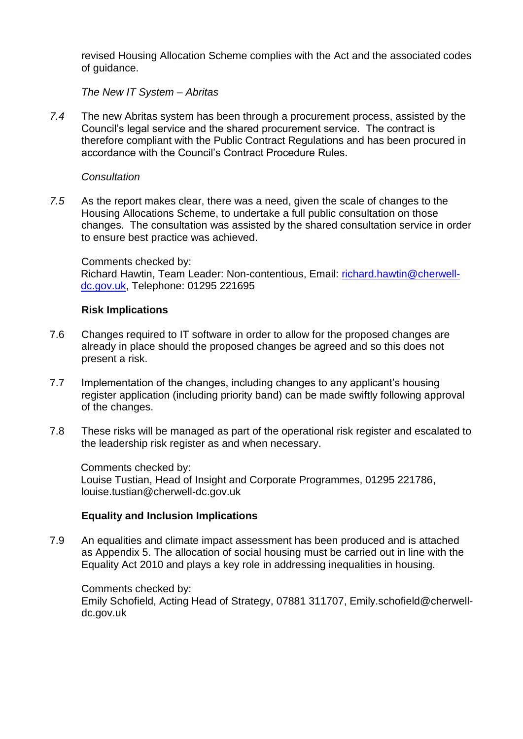revised Housing Allocation Scheme complies with the Act and the associated codes of guidance.

*The New IT System – Abritas*

*7.4* The new Abritas system has been through a procurement process, assisted by the Council's legal service and the shared procurement service. The contract is therefore compliant with the Public Contract Regulations and has been procured in accordance with the Council's Contract Procedure Rules.

#### *Consultation*

*7.5* As the report makes clear, there was a need, given the scale of changes to the Housing Allocations Scheme, to undertake a full public consultation on those changes. The consultation was assisted by the shared consultation service in order to ensure best practice was achieved.

Comments checked by: Richard Hawtin, Team Leader: Non-contentious, Email: [richard.hawtin@cherwell](mailto:richard.hawtin@cherwell-dc.gov.uk)[dc.gov.uk,](mailto:richard.hawtin@cherwell-dc.gov.uk) Telephone: 01295 221695

#### **Risk Implications**

- 7.6 Changes required to IT software in order to allow for the proposed changes are already in place should the proposed changes be agreed and so this does not present a risk.
- 7.7 Implementation of the changes, including changes to any applicant's housing register application (including priority band) can be made swiftly following approval of the changes.
- 7.8 These risks will be managed as part of the operational risk register and escalated to the leadership risk register as and when necessary.

Comments checked by: Louise Tustian, Head of Insight and Corporate Programmes, 01295 221786, louise.tustian@cherwell-dc.gov.uk

### **Equality and Inclusion Implications**

7.9 An equalities and climate impact assessment has been produced and is attached as Appendix 5. The allocation of social housing must be carried out in line with the Equality Act 2010 and plays a key role in addressing inequalities in housing.

Comments checked by:

Emily Schofield, Acting Head of Strategy, 07881 311707, Emily.schofield@cherwelldc.gov.uk